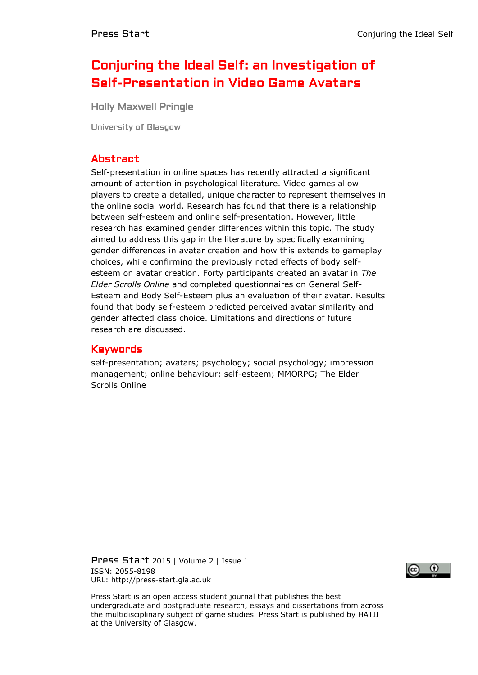# Conjuring the Ideal Self: an Investigation of Self-Presentation in Video Game Avatars

Holly Maxwell Pringle

University of Glasgow

## Abstract

Self-presentation in online spaces has recently attracted a significant amount of attention in psychological literature. Video games allow players to create a detailed, unique character to represent themselves in the online social world. Research has found that there is a relationship between self-esteem and online self-presentation. However, little research has examined gender differences within this topic. The study aimed to address this gap in the literature by specifically examining gender differences in avatar creation and how this extends to gameplay choices, while confirming the previously noted effects of body selfesteem on avatar creation. Forty participants created an avatar in *The Elder Scrolls Online* and completed questionnaires on General Self-Esteem and Body Self-Esteem plus an evaluation of their avatar. Results found that body self-esteem predicted perceived avatar similarity and gender affected class choice. Limitations and directions of future research are discussed.

### Keywords

self-presentation; avatars; psychology; social psychology; impression management; online behaviour; self-esteem; MMORPG; The Elder Scrolls Online

Press Start 2015 | Volume 2 | Issue 1 ISSN: 2055-8198 URL: http://press-start.gla.ac.uk



Press Start is an open access student journal that publishes the best undergraduate and postgraduate research, essays and dissertations from across the multidisciplinary subject of game studies. Press Start is published by HATII at the University of Glasgow.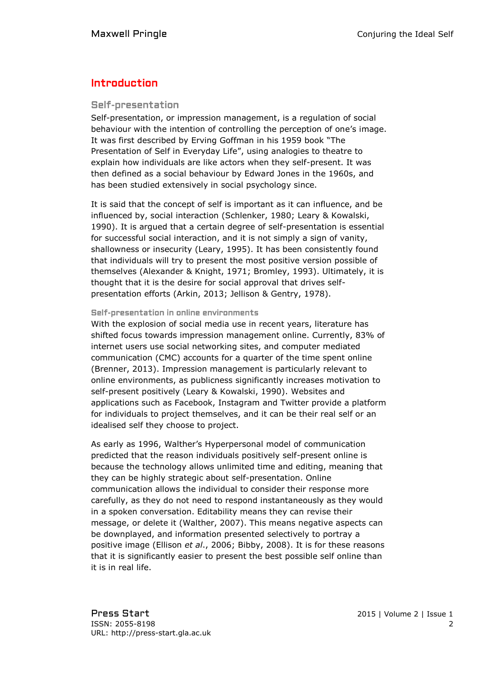## Introduction

#### Self-presentation

Self-presentation, or impression management, is a regulation of social behaviour with the intention of controlling the perception of one's image. It was first described by Erving Goffman in his 1959 book "The Presentation of Self in Everyday Life", using analogies to theatre to explain how individuals are like actors when they self-present. It was then defined as a social behaviour by Edward Jones in the 1960s, and has been studied extensively in social psychology since.

It is said that the concept of self is important as it can influence, and be influenced by, social interaction (Schlenker, 1980; Leary & Kowalski, 1990). It is argued that a certain degree of self-presentation is essential for successful social interaction, and it is not simply a sign of vanity, shallowness or insecurity (Leary, 1995). It has been consistently found that individuals will try to present the most positive version possible of themselves (Alexander & Knight, 1971; Bromley, 1993). Ultimately, it is thought that it is the desire for social approval that drives selfpresentation efforts (Arkin, 2013; Jellison & Gentry, 1978).

#### Self-presentation in online environments

With the explosion of social media use in recent years, literature has shifted focus towards impression management online. Currently, 83% of internet users use social networking sites, and computer mediated communication (CMC) accounts for a quarter of the time spent online (Brenner, 2013). Impression management is particularly relevant to online environments, as publicness significantly increases motivation to self-present positively (Leary & Kowalski, 1990). Websites and applications such as Facebook, Instagram and Twitter provide a platform for individuals to project themselves, and it can be their real self or an idealised self they choose to project.

As early as 1996, Walther's Hyperpersonal model of communication predicted that the reason individuals positively self-present online is because the technology allows unlimited time and editing, meaning that they can be highly strategic about self-presentation. Online communication allows the individual to consider their response more carefully, as they do not need to respond instantaneously as they would in a spoken conversation. Editability means they can revise their message, or delete it (Walther, 2007). This means negative aspects can be downplayed, and information presented selectively to portray a positive image (Ellison *et al*., 2006; Bibby, 2008). It is for these reasons that it is significantly easier to present the best possible self online than it is in real life.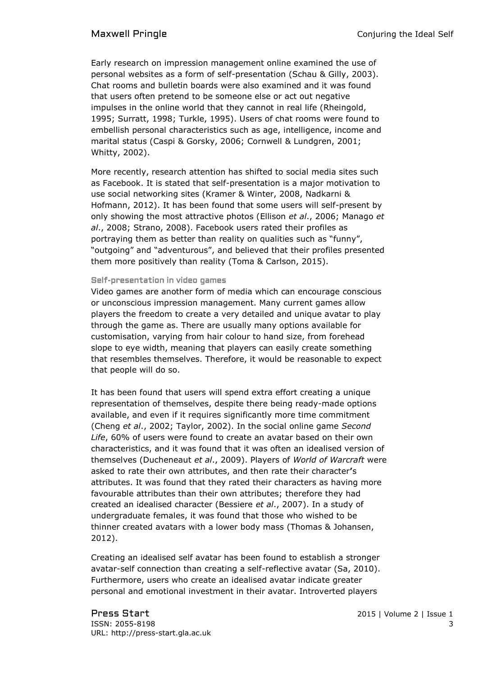Early research on impression management online examined the use of personal websites as a form of self-presentation (Schau & Gilly, 2003). Chat rooms and bulletin boards were also examined and it was found that users often pretend to be someone else or act out negative impulses in the online world that they cannot in real life (Rheingold, 1995; Surratt, 1998; Turkle, 1995). Users of chat rooms were found to embellish personal characteristics such as age, intelligence, income and marital status (Caspi & Gorsky, 2006; Cornwell & Lundgren, 2001; Whitty, 2002).

More recently, research attention has shifted to social media sites such as Facebook. It is stated that self-presentation is a major motivation to use social networking sites (Kramer & Winter, 2008, Nadkarni & Hofmann, 2012). It has been found that some users will self-present by only showing the most attractive photos (Ellison *et al*., 2006; Manago *et al*., 2008; Strano, 2008). Facebook users rated their profiles as portraying them as better than reality on qualities such as "funny", "outgoing" and "adventurous", and believed that their profiles presented them more positively than reality (Toma & Carlson, 2015).

#### Self-presentation in video games

Video games are another form of media which can encourage conscious or unconscious impression management. Many current games allow players the freedom to create a very detailed and unique avatar to play through the game as. There are usually many options available for customisation, varying from hair colour to hand size, from forehead slope to eye width, meaning that players can easily create something that resembles themselves. Therefore, it would be reasonable to expect that people will do so.

It has been found that users will spend extra effort creating a unique representation of themselves, despite there being ready-made options available, and even if it requires significantly more time commitment (Cheng *et al*., 2002; Taylor, 2002). In the social online game *Second Life*, 60% of users were found to create an avatar based on their own characteristics, and it was found that it was often an idealised version of themselves (Ducheneaut *et al*., 2009). Players of *World of Warcraft* were asked to rate their own attributes, and then rate their character**'**s attributes. It was found that they rated their characters as having more favourable attributes than their own attributes; therefore they had created an idealised character (Bessiere *et al*., 2007). In a study of undergraduate females, it was found that those who wished to be thinner created avatars with a lower body mass (Thomas & Johansen, 2012).

Creating an idealised self avatar has been found to establish a stronger avatar-self connection than creating a self-reflective avatar (Sa, 2010). Furthermore, users who create an idealised avatar indicate greater personal and emotional investment in their avatar. Introverted players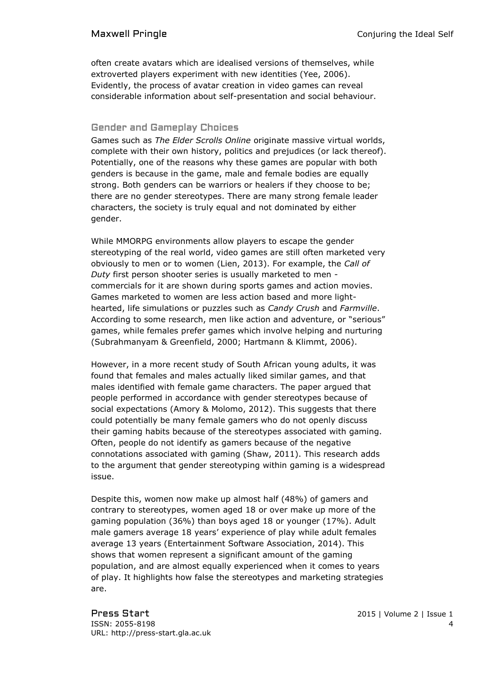often create avatars which are idealised versions of themselves, while extroverted players experiment with new identities (Yee, 2006). Evidently, the process of avatar creation in video games can reveal considerable information about self-presentation and social behaviour.

#### Gender and Gameplay Choices

Games such as *The Elder Scrolls Online* originate massive virtual worlds, complete with their own history, politics and prejudices (or lack thereof). Potentially, one of the reasons why these games are popular with both genders is because in the game, male and female bodies are equally strong. Both genders can be warriors or healers if they choose to be; there are no gender stereotypes. There are many strong female leader characters, the society is truly equal and not dominated by either gender.

While MMORPG environments allow players to escape the gender stereotyping of the real world, video games are still often marketed very obviously to men or to women (Lien, 2013). For example, the *Call of Duty* first person shooter series is usually marketed to men commercials for it are shown during sports games and action movies. Games marketed to women are less action based and more lighthearted, life simulations or puzzles such as *Candy Crush* and *Farmville*. According to some research, men like action and adventure, or "serious" games, while females prefer games which involve helping and nurturing (Subrahmanyam & Greenfield, 2000; Hartmann & Klimmt, 2006).

However, in a more recent study of South African young adults, it was found that females and males actually liked similar games, and that males identified with female game characters. The paper argued that people performed in accordance with gender stereotypes because of social expectations (Amory & Molomo, 2012). This suggests that there could potentially be many female gamers who do not openly discuss their gaming habits because of the stereotypes associated with gaming. Often, people do not identify as gamers because of the negative connotations associated with gaming (Shaw, 2011). This research adds to the argument that gender stereotyping within gaming is a widespread issue.

Despite this, women now make up almost half (48%) of gamers and contrary to stereotypes, women aged 18 or over make up more of the gaming population (36%) than boys aged 18 or younger (17%). Adult male gamers average 18 years' experience of play while adult females average 13 years (Entertainment Software Association, 2014). This shows that women represent a significant amount of the gaming population, and are almost equally experienced when it comes to years of play. It highlights how false the stereotypes and marketing strategies are.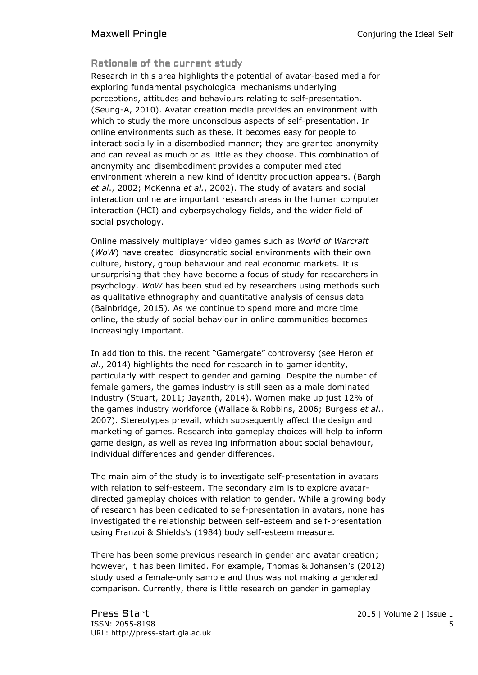### Rationale of the current study

Research in this area highlights the potential of avatar-based media for exploring fundamental psychological mechanisms underlying perceptions, attitudes and behaviours relating to self-presentation. (Seung-A, 2010). Avatar creation media provides an environment with which to study the more unconscious aspects of self-presentation. In online environments such as these, it becomes easy for people to interact socially in a disembodied manner; they are granted anonymity and can reveal as much or as little as they choose. This combination of anonymity and disembodiment provides a computer mediated environment wherein a new kind of identity production appears. (Bargh *et al*., 2002; McKenna *et al.*, 2002). The study of avatars and social interaction online are important research areas in the human computer interaction (HCI) and cyberpsychology fields, and the wider field of social psychology.

Online massively multiplayer video games such as *World of Warcraft*  (*WoW*) have created idiosyncratic social environments with their own culture, history, group behaviour and real economic markets. It is unsurprising that they have become a focus of study for researchers in psychology. *WoW* has been studied by researchers using methods such as qualitative ethnography and quantitative analysis of census data (Bainbridge, 2015). As we continue to spend more and more time online, the study of social behaviour in online communities becomes increasingly important.

In addition to this, the recent "Gamergate" controversy (see Heron *et al*., 2014) highlights the need for research in to gamer identity, particularly with respect to gender and gaming. Despite the number of female gamers, the games industry is still seen as a male dominated industry (Stuart, 2011; Jayanth, 2014). Women make up just 12% of the games industry workforce (Wallace & Robbins, 2006; Burgess *et al*., 2007). Stereotypes prevail, which subsequently affect the design and marketing of games. Research into gameplay choices will help to inform game design, as well as revealing information about social behaviour, individual differences and gender differences.

The main aim of the study is to investigate self-presentation in avatars with relation to self-esteem. The secondary aim is to explore avatardirected gameplay choices with relation to gender. While a growing body of research has been dedicated to self-presentation in avatars, none has investigated the relationship between self-esteem and self-presentation using Franzoi & Shields's (1984) body self-esteem measure.

There has been some previous research in gender and avatar creation; however, it has been limited. For example, Thomas & Johansen's (2012) study used a female-only sample and thus was not making a gendered comparison. Currently, there is little research on gender in gameplay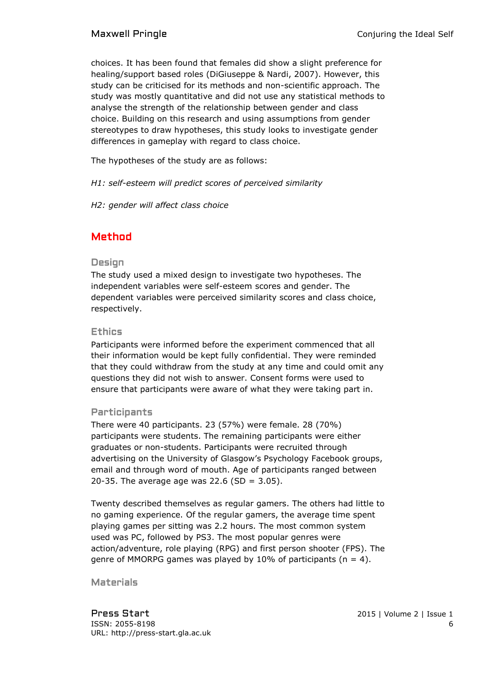choices. It has been found that females did show a slight preference for healing/support based roles (DiGiuseppe & Nardi, 2007). However, this study can be criticised for its methods and non-scientific approach. The study was mostly quantitative and did not use any statistical methods to analyse the strength of the relationship between gender and class choice. Building on this research and using assumptions from gender stereotypes to draw hypotheses, this study looks to investigate gender differences in gameplay with regard to class choice.

The hypotheses of the study are as follows:

*H1: self-esteem will predict scores of perceived similarity*

*H2: gender will affect class choice*

## Method

### Design

The study used a mixed design to investigate two hypotheses. The independent variables were self-esteem scores and gender. The dependent variables were perceived similarity scores and class choice, respectively.

### Ethics

Participants were informed before the experiment commenced that all their information would be kept fully confidential. They were reminded that they could withdraw from the study at any time and could omit any questions they did not wish to answer. Consent forms were used to ensure that participants were aware of what they were taking part in.

### Participants

There were 40 participants. 23 (57%) were female. 28 (70%) participants were students. The remaining participants were either graduates or non-students. Participants were recruited through advertising on the University of Glasgow's Psychology Facebook groups, email and through word of mouth. Age of participants ranged between 20-35. The average age was 22.6 (SD =  $3.05$ ).

Twenty described themselves as regular gamers. The others had little to no gaming experience. Of the regular gamers, the average time spent playing games per sitting was 2.2 hours. The most common system used was PC, followed by PS3. The most popular genres were action/adventure, role playing (RPG) and first person shooter (FPS). The genre of MMORPG games was played by 10% of participants ( $n = 4$ ).

Materials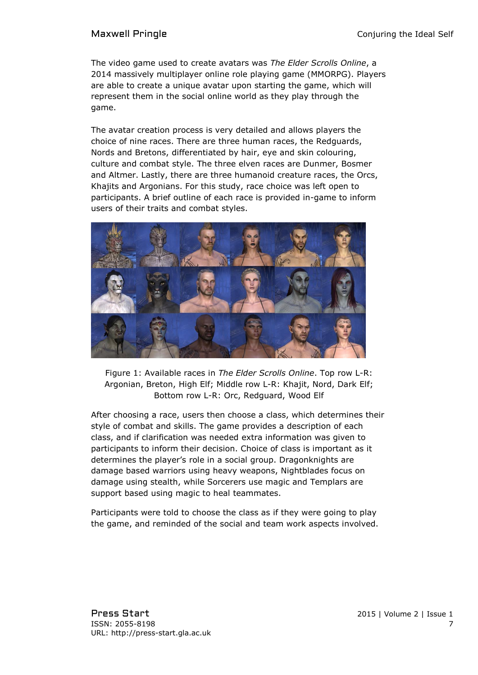The video game used to create avatars was *The Elder Scrolls Online*, a 2014 massively multiplayer online role playing game (MMORPG). Players are able to create a unique avatar upon starting the game, which will represent them in the social online world as they play through the game.

The avatar creation process is very detailed and allows players the choice of nine races. There are three human races, the Redguards, Nords and Bretons, differentiated by hair, eye and skin colouring, culture and combat style. The three elven races are Dunmer, Bosmer and Altmer. Lastly, there are three humanoid creature races, the Orcs, Khajits and Argonians. For this study, race choice was left open to participants. A brief outline of each race is provided in-game to inform users of their traits and combat styles.



Figure 1: Available races in *The Elder Scrolls Online*. Top row L-R: Argonian, Breton, High Elf; Middle row L-R: Khajit, Nord, Dark Elf; Bottom row L-R: Orc, Redguard, Wood Elf

After choosing a race, users then choose a class, which determines their style of combat and skills. The game provides a description of each class, and if clarification was needed extra information was given to participants to inform their decision. Choice of class is important as it determines the player's role in a social group. Dragonknights are damage based warriors using heavy weapons, Nightblades focus on damage using stealth, while Sorcerers use magic and Templars are support based using magic to heal teammates.

Participants were told to choose the class as if they were going to play the game, and reminded of the social and team work aspects involved.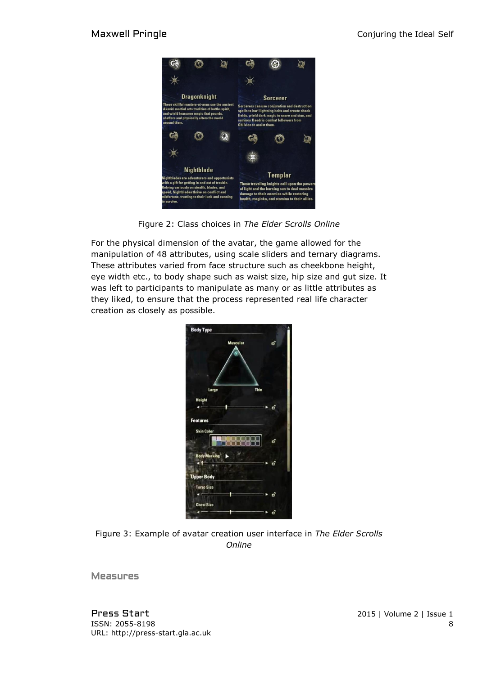

Figure 2: Class choices in *The Elder Scrolls Online*

For the physical dimension of the avatar, the game allowed for the manipulation of 48 attributes, using scale sliders and ternary diagrams. These attributes varied from face structure such as cheekbone height, eye width etc., to body shape such as waist size, hip size and gut size. It was left to participants to manipulate as many or as little attributes as they liked, to ensure that the process represented real life character creation as closely as possible.

| <b>Body Type</b>         |        |  |
|--------------------------|--------|--|
| <b>Muscular</b>          | oî     |  |
|                          |        |  |
|                          |        |  |
|                          |        |  |
|                          | Thin   |  |
| Large                    |        |  |
| <b>Height</b>            |        |  |
|                          | ► மி   |  |
| <b>Features</b>          |        |  |
| <b>Skin Color</b>        |        |  |
|                          | o      |  |
| <b>Body Marking</b><br>N |        |  |
|                          | o      |  |
|                          |        |  |
| <b>Upper Body</b>        |        |  |
| <b>Torso Size</b>        |        |  |
|                          | ó<br>ъ |  |
| <b>Chest Size</b>        |        |  |
|                          |        |  |
|                          | oî     |  |

Figure 3: Example of avatar creation user interface in *The Elder Scrolls Online*

**Measures**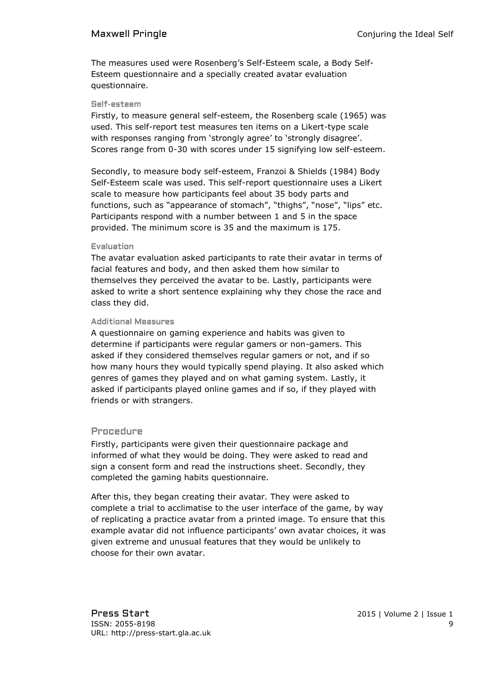The measures used were Rosenberg's Self-Esteem scale, a Body Self-Esteem questionnaire and a specially created avatar evaluation questionnaire.

#### Self-esteem

Firstly, to measure general self-esteem, the Rosenberg scale (1965) was used. This self-report test measures ten items on a Likert-type scale with responses ranging from 'strongly agree' to 'strongly disagree'. Scores range from 0-30 with scores under 15 signifying low self-esteem.

Secondly, to measure body self-esteem, Franzoi & Shields (1984) Body Self-Esteem scale was used. This self-report questionnaire uses a Likert scale to measure how participants feel about 35 body parts and functions, such as "appearance of stomach", "thighs", "nose", "lips" etc. Participants respond with a number between 1 and 5 in the space provided. The minimum score is 35 and the maximum is 175.

#### Evaluation

The avatar evaluation asked participants to rate their avatar in terms of facial features and body, and then asked them how similar to themselves they perceived the avatar to be. Lastly, participants were asked to write a short sentence explaining why they chose the race and class they did.

#### Additional Measures

A questionnaire on gaming experience and habits was given to determine if participants were regular gamers or non-gamers. This asked if they considered themselves regular gamers or not, and if so how many hours they would typically spend playing. It also asked which genres of games they played and on what gaming system. Lastly, it asked if participants played online games and if so, if they played with friends or with strangers.

#### Procedure

Firstly, participants were given their questionnaire package and informed of what they would be doing. They were asked to read and sign a consent form and read the instructions sheet. Secondly, they completed the gaming habits questionnaire.

After this, they began creating their avatar. They were asked to complete a trial to acclimatise to the user interface of the game, by way of replicating a practice avatar from a printed image. To ensure that this example avatar did not influence participants' own avatar choices, it was given extreme and unusual features that they would be unlikely to choose for their own avatar.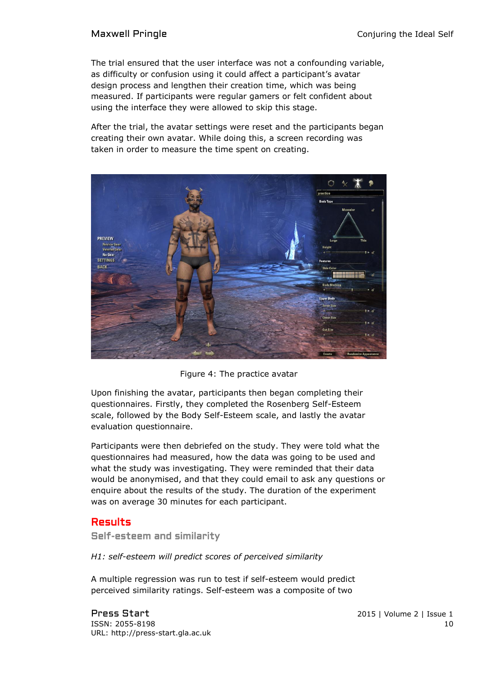The trial ensured that the user interface was not a confounding variable, as difficulty or confusion using it could affect a participant's avatar design process and lengthen their creation time, which was being measured. If participants were regular gamers or felt confident about using the interface they were allowed to skip this stage.

After the trial, the avatar settings were reset and the participants began creating their own avatar. While doing this, a screen recording was taken in order to measure the time spent on creating.



Figure 4: The practice avatar

Upon finishing the avatar, participants then began completing their questionnaires. Firstly, they completed the Rosenberg Self-Esteem scale, followed by the Body Self-Esteem scale, and lastly the avatar evaluation questionnaire.

Participants were then debriefed on the study. They were told what the questionnaires had measured, how the data was going to be used and what the study was investigating. They were reminded that their data would be anonymised, and that they could email to ask any questions or enquire about the results of the study. The duration of the experiment was on average 30 minutes for each participant.

## Results

Self-esteem and similarity

*H1: self-esteem will predict scores of perceived similarity*

A multiple regression was run to test if self-esteem would predict perceived similarity ratings. Self-esteem was a composite of two

Press Start 2015 | Volume 2 | Issue 1 ISSN: 2055-8198 10 URL: http://press-start.gla.ac.uk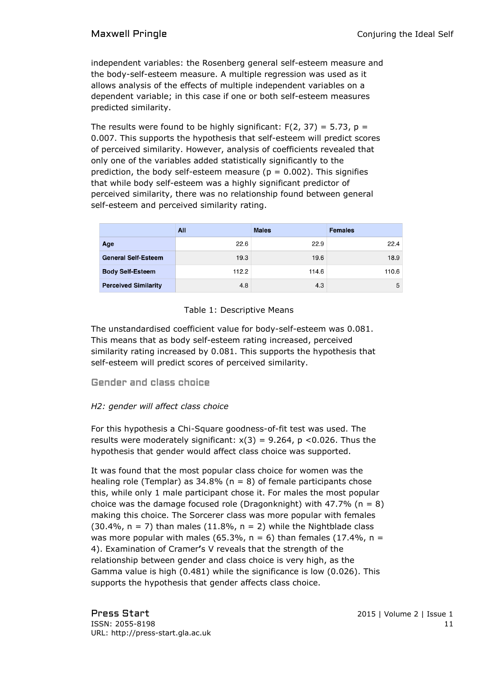independent variables: the Rosenberg general self-esteem measure and the body-self-esteem measure. A multiple regression was used as it allows analysis of the effects of multiple independent variables on a dependent variable; in this case if one or both self-esteem measures predicted similarity.

The results were found to be highly significant:  $F(2, 37) = 5.73$ ,  $p =$ 0.007. This supports the hypothesis that self-esteem will predict scores of perceived similarity. However, analysis of coefficients revealed that only one of the variables added statistically significantly to the prediction, the body self-esteem measure ( $p = 0.002$ ). This signifies that while body self-esteem was a highly significant predictor of perceived similarity, there was no relationship found between general self-esteem and perceived similarity rating.

|                             | All   | <b>Males</b> | <b>Females</b> |
|-----------------------------|-------|--------------|----------------|
| Age                         | 22.6  | 22.9         | 22.4           |
| <b>General Self-Esteem</b>  | 19.3  | 19.6         | 18.9           |
| <b>Body Self-Esteem</b>     | 112.2 | 114.6        | 110.6          |
| <b>Perceived Similarity</b> | 4.8   | 4.3          | 5              |

### Table 1: Descriptive Means

The unstandardised coefficient value for body-self-esteem was 0.081. This means that as body self-esteem rating increased, perceived similarity rating increased by 0.081. This supports the hypothesis that self-esteem will predict scores of perceived similarity.

Gender and class choice

### *H2: gender will affect class choice*

For this hypothesis a Chi-Square goodness-of-fit test was used. The results were moderately significant:  $x(3) = 9.264$ ,  $p < 0.026$ . Thus the hypothesis that gender would affect class choice was supported.

It was found that the most popular class choice for women was the healing role (Templar) as  $34.8\%$  (n = 8) of female participants chose this, while only 1 male participant chose it. For males the most popular choice was the damage focused role (Dragonknight) with 47.7% ( $n = 8$ ) making this choice. The Sorcerer class was more popular with females  $(30.4\%$ , n = 7) than males  $(11.8\%$ , n = 2) while the Nightblade class was more popular with males (65.3%,  $n = 6$ ) than females (17.4%,  $n =$ 4). Examination of Cramer**'**s V reveals that the strength of the relationship between gender and class choice is very high, as the Gamma value is high (0.481) while the significance is low (0.026). This supports the hypothesis that gender affects class choice.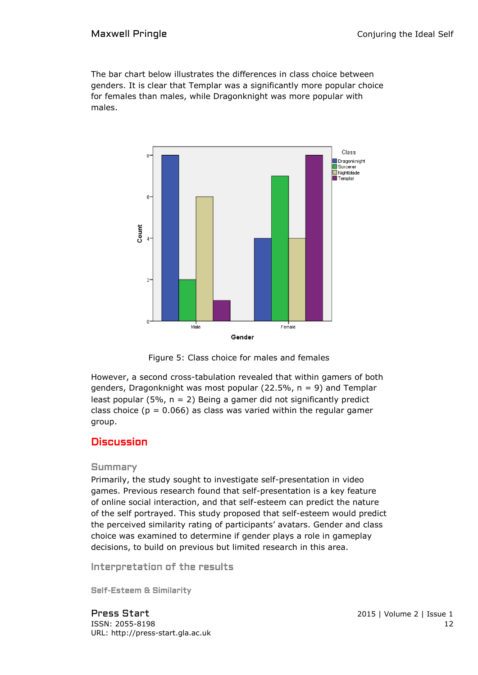The bar chart below illustrates the differences in class choice between genders. It is clear that Templar was a significantly more popular choice for females than males, while Dragonknight was more popular with males.



Figure 5: Class choice for males and females

However, a second cross-tabulation revealed that within gamers of both genders, Dragonknight was most popular (22.5%,  $n = 9$ ) and Templar least popular (5%,  $n = 2$ ) Being a gamer did not significantly predict class choice ( $p = 0.066$ ) as class was varied within the regular gamer group.

## **Discussion**

#### Summary

Primarily, the study sought to investigate self-presentation in video games. Previous research found that self-presentation is a key feature of online social interaction, and that self-esteem can predict the nature of the self portrayed. This study proposed that self-esteem would predict the perceived similarity rating of participants' avatars. Gender and class choice was examined to determine if gender plays a role in gameplay decisions, to build on previous but limited research in this area.

Interpretation of the results

Self-Esteem & Similarity

Press Start 2015 | Volume 2 | Issue 1 **ISSN: 2055-8198** 12 URL: http://press-start.gla.ac.uk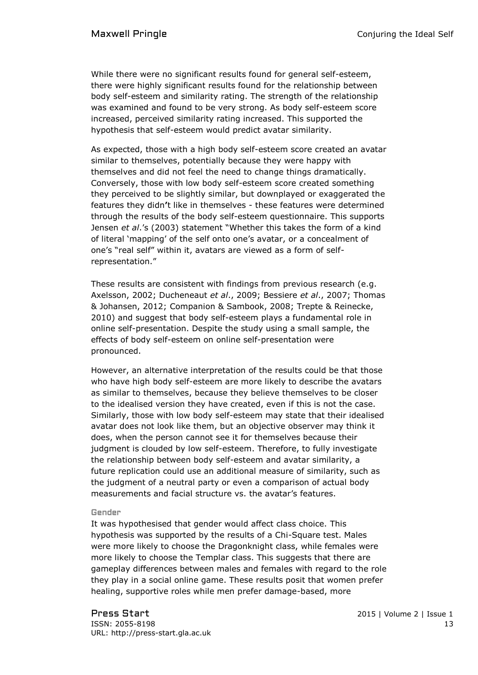While there were no significant results found for general self-esteem, there were highly significant results found for the relationship between body self-esteem and similarity rating. The strength of the relationship was examined and found to be very strong. As body self-esteem score increased, perceived similarity rating increased. This supported the hypothesis that self-esteem would predict avatar similarity.

As expected, those with a high body self-esteem score created an avatar similar to themselves, potentially because they were happy with themselves and did not feel the need to change things dramatically. Conversely, those with low body self-esteem score created something they perceived to be slightly similar, but downplayed or exaggerated the features they didn**'**t like in themselves - these features were determined through the results of the body self-esteem questionnaire. This supports Jensen *et al*.'s (2003) statement "Whether this takes the form of a kind of literal 'mapping' of the self onto one's avatar, or a concealment of one's "real self" within it, avatars are viewed as a form of selfrepresentation."

These results are consistent with findings from previous research (e.g. Axelsson, 2002; Ducheneaut *et al*., 2009; Bessiere *et al*., 2007; Thomas & Johansen, 2012; Companion & Sambook, 2008; Trepte & Reinecke, 2010) and suggest that body self-esteem plays a fundamental role in online self-presentation. Despite the study using a small sample, the effects of body self-esteem on online self-presentation were pronounced.

However, an alternative interpretation of the results could be that those who have high body self-esteem are more likely to describe the avatars as similar to themselves, because they believe themselves to be closer to the idealised version they have created, even if this is not the case. Similarly, those with low body self-esteem may state that their idealised avatar does not look like them, but an objective observer may think it does, when the person cannot see it for themselves because their judgment is clouded by low self-esteem. Therefore, to fully investigate the relationship between body self-esteem and avatar similarity, a future replication could use an additional measure of similarity, such as the judgment of a neutral party or even a comparison of actual body measurements and facial structure vs. the avatar's features.

#### Gender

It was hypothesised that gender would affect class choice. This hypothesis was supported by the results of a Chi-Square test. Males were more likely to choose the Dragonknight class, while females were more likely to choose the Templar class. This suggests that there are gameplay differences between males and females with regard to the role they play in a social online game. These results posit that women prefer healing, supportive roles while men prefer damage-based, more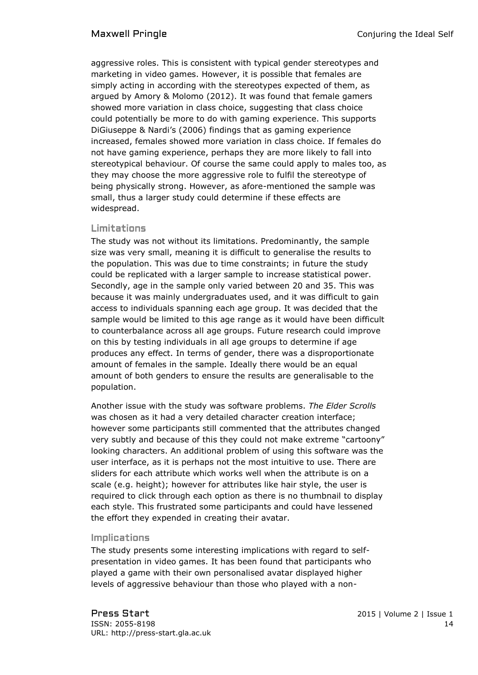aggressive roles. This is consistent with typical gender stereotypes and marketing in video games. However, it is possible that females are simply acting in according with the stereotypes expected of them, as argued by Amory & Molomo (2012). It was found that female gamers showed more variation in class choice, suggesting that class choice could potentially be more to do with gaming experience. This supports DiGiuseppe & Nardi's (2006) findings that as gaming experience increased, females showed more variation in class choice. If females do not have gaming experience, perhaps they are more likely to fall into stereotypical behaviour. Of course the same could apply to males too, as they may choose the more aggressive role to fulfil the stereotype of being physically strong. However, as afore-mentioned the sample was small, thus a larger study could determine if these effects are widespread.

### Limitations

The study was not without its limitations. Predominantly, the sample size was very small, meaning it is difficult to generalise the results to the population. This was due to time constraints; in future the study could be replicated with a larger sample to increase statistical power. Secondly, age in the sample only varied between 20 and 35. This was because it was mainly undergraduates used, and it was difficult to gain access to individuals spanning each age group. It was decided that the sample would be limited to this age range as it would have been difficult to counterbalance across all age groups. Future research could improve on this by testing individuals in all age groups to determine if age produces any effect. In terms of gender, there was a disproportionate amount of females in the sample. Ideally there would be an equal amount of both genders to ensure the results are generalisable to the population.

Another issue with the study was software problems. *The Elder Scrolls* was chosen as it had a very detailed character creation interface; however some participants still commented that the attributes changed very subtly and because of this they could not make extreme "cartoony" looking characters. An additional problem of using this software was the user interface, as it is perhaps not the most intuitive to use. There are sliders for each attribute which works well when the attribute is on a scale (e.g. height); however for attributes like hair style, the user is required to click through each option as there is no thumbnail to display each style. This frustrated some participants and could have lessened the effort they expended in creating their avatar.

### Implications

The study presents some interesting implications with regard to selfpresentation in video games. It has been found that participants who played a game with their own personalised avatar displayed higher levels of aggressive behaviour than those who played with a non-

Press Start 2015 | Volume 2 | Issue 1 ISSN: 2055-8198 14 URL: http://press-start.gla.ac.uk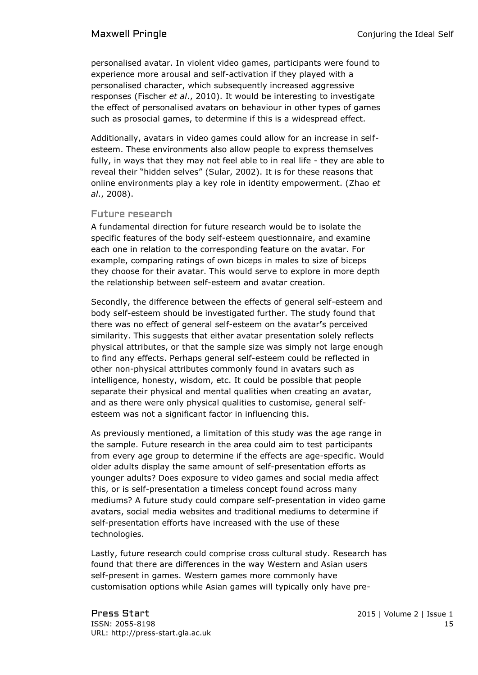personalised avatar. In violent video games, participants were found to experience more arousal and self-activation if they played with a personalised character, which subsequently increased aggressive responses (Fischer *et al*., 2010). It would be interesting to investigate the effect of personalised avatars on behaviour in other types of games such as prosocial games, to determine if this is a widespread effect.

Additionally, avatars in video games could allow for an increase in selfesteem. These environments also allow people to express themselves fully, in ways that they may not feel able to in real life - they are able to reveal their "hidden selves" (Sular, 2002). It is for these reasons that online environments play a key role in identity empowerment. (Zhao *et al*., 2008).

#### Future research

A fundamental direction for future research would be to isolate the specific features of the body self-esteem questionnaire, and examine each one in relation to the corresponding feature on the avatar. For example, comparing ratings of own biceps in males to size of biceps they choose for their avatar. This would serve to explore in more depth the relationship between self-esteem and avatar creation.

Secondly, the difference between the effects of general self-esteem and body self-esteem should be investigated further. The study found that there was no effect of general self-esteem on the avatar**'**s perceived similarity. This suggests that either avatar presentation solely reflects physical attributes, or that the sample size was simply not large enough to find any effects. Perhaps general self-esteem could be reflected in other non-physical attributes commonly found in avatars such as intelligence, honesty, wisdom, etc. It could be possible that people separate their physical and mental qualities when creating an avatar, and as there were only physical qualities to customise, general selfesteem was not a significant factor in influencing this.

As previously mentioned, a limitation of this study was the age range in the sample. Future research in the area could aim to test participants from every age group to determine if the effects are age-specific. Would older adults display the same amount of self-presentation efforts as younger adults? Does exposure to video games and social media affect this, or is self-presentation a timeless concept found across many mediums? A future study could compare self-presentation in video game avatars, social media websites and traditional mediums to determine if self-presentation efforts have increased with the use of these technologies.

Lastly, future research could comprise cross cultural study. Research has found that there are differences in the way Western and Asian users self-present in games. Western games more commonly have customisation options while Asian games will typically only have pre-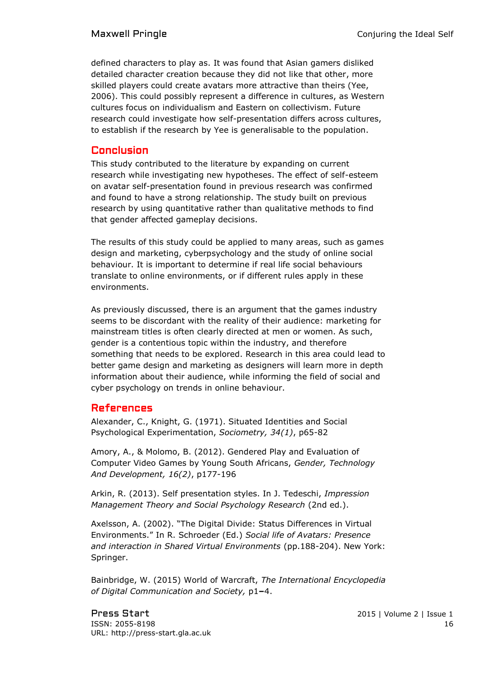defined characters to play as. It was found that Asian gamers disliked detailed character creation because they did not like that other, more skilled players could create avatars more attractive than theirs (Yee, 2006). This could possibly represent a difference in cultures, as Western cultures focus on individualism and Eastern on collectivism. Future research could investigate how self-presentation differs across cultures, to establish if the research by Yee is generalisable to the population.

## Conclusion

This study contributed to the literature by expanding on current research while investigating new hypotheses. The effect of self-esteem on avatar self-presentation found in previous research was confirmed and found to have a strong relationship. The study built on previous research by using quantitative rather than qualitative methods to find that gender affected gameplay decisions.

The results of this study could be applied to many areas, such as games design and marketing, cyberpsychology and the study of online social behaviour. It is important to determine if real life social behaviours translate to online environments, or if different rules apply in these environments.

As previously discussed, there is an argument that the games industry seems to be discordant with the reality of their audience: marketing for mainstream titles is often clearly directed at men or women. As such, gender is a contentious topic within the industry, and therefore something that needs to be explored. Research in this area could lead to better game design and marketing as designers will learn more in depth information about their audience, while informing the field of social and cyber psychology on trends in online behaviour.

## References

Alexander, C., Knight, G. (1971). Situated Identities and Social Psychological Experimentation, *Sociometry, 34(1)*, p65-82

Amory, A., & Molomo, B. (2012). Gendered Play and Evaluation of Computer Video Games by Young South Africans, *Gender, Technology And Development, 16(2)*, p177-196

Arkin, R. (2013). Self presentation styles. In J. Tedeschi, *Impression Management Theory and Social Psychology Research* (2nd ed.).

Axelsson, A. (2002). "The Digital Divide: Status Differences in Virtual Environments." In R. Schroeder (Ed.) *Social life of Avatars: Presence and interaction in Shared Virtual Environments* (pp.188-204). New York: Springer.

Bainbridge, W. (2015) World of Warcraft, *The International Encyclopedia of Digital Communication and Society,* p1**–**4.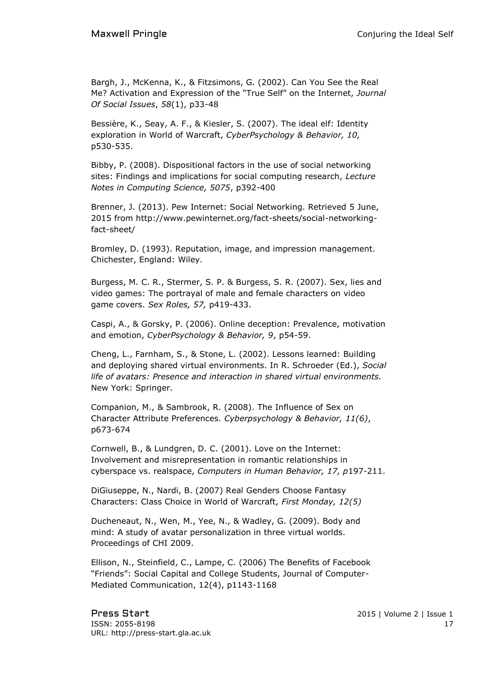Bargh, J., McKenna, K., & Fitzsimons, G. (2002). Can You See the Real Me? Activation and Expression of the "True Self" on the Internet, *Journal Of Social Issues*, *58*(1), p33-48

Bessière, K., Seay, A. F., & Kiesler, S. (2007). The ideal elf: Identity exploration in World of Warcraft, *CyberPsychology & Behavior, 10,*  p530-535.

Bibby, P. (2008). Dispositional factors in the use of social networking sites: Findings and implications for social computing research, *Lecture Notes in Computing Science, 5075*, p392-400

Brenner, J. (2013). Pew Internet: Social Networking. Retrieved 5 June, 2015 from [http://www.pewinternet.org/fact-sheets/social-networking](http://www.pewinternet.org/fact-sheets/social-networking-fact-sheet/)[fact-sheet/](http://www.pewinternet.org/fact-sheets/social-networking-fact-sheet/)

Bromley, D. (1993). Reputation, image, and impression management. Chichester, England: Wiley.

Burgess, M. C. R., Stermer, S. P. & Burgess, S. R. (2007). Sex, lies and video games: The portrayal of male and female characters on video game covers. *Sex Roles, 57,* p419-433.

Caspi, A., & Gorsky, P. (2006). Online deception: Prevalence, motivation and emotion, *CyberPsychology & Behavior, 9*, p54-59.

Cheng, L., Farnham, S., & Stone, L. (2002). Lessons learned: Building and deploying shared virtual environments. In R. Schroeder (Ed.), *Social life of avatars: Presence and interaction in shared virtual environments.*  New York: Springer.

Companion, M., & Sambrook, R. (2008). The Influence of Sex on Character Attribute Preferences. *Cyberpsychology & Behavior, 11(6)*, p673-674

Cornwell, B., & Lundgren, D. C. (2001). Love on the Internet: Involvement and misrepresentation in romantic relationships in cyberspace vs. realspace, *Computers in Human Behavior, 17, p*197-211.

DiGiuseppe, N., Nardi, B. (2007) Real Genders Choose Fantasy Characters: Class Choice in World of Warcraft, *First Monday, 12(5)*

Ducheneaut, N., Wen, M., Yee, N., & Wadley, G. (2009). Body and mind: A study of avatar personalization in three virtual worlds. Proceedings of CHI 2009.

Ellison, N., Steinfield, C., Lampe, C. (2006) The Benefits of Facebook "Friends": Social Capital and College Students, Journal of Computer-Mediated Communication, 12(4), p1143-1168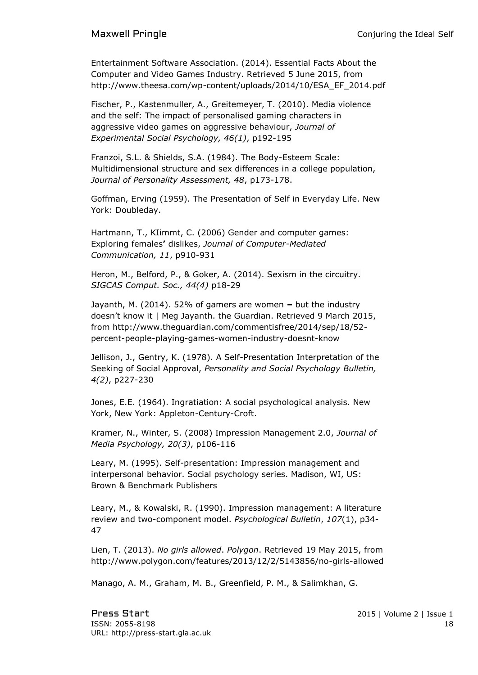Entertainment Software Association. (2014). Essential Facts About the Computer and Video Games Industry. Retrieved 5 June 2015, from [http://www.theesa.com/wp-content/uploads/2014/10/ESA\\_EF\\_2014.pdf](http://www.theesa.com/wp-content/uploads/2014/10/ESA_EF_2014.pdf)

Fischer, P., Kastenmuller, A., Greitemeyer, T. (2010). Media violence and the self: The impact of personalised gaming characters in aggressive video games on aggressive behaviour, *Journal of Experimental Social Psychology, 46(1)*, p192-195

Franzoi, S.L. & Shields, S.A. (1984). The Body-Esteem Scale: Multidimensional structure and sex differences in a college population, *Journal of Personality Assessment, 48*, p173-178.

[Goffman, Erving](http://en.wikipedia.org/wiki/Erving_Goffman) (1959). The Presentation of Self in Everyday Life. New York: Doubleday.

Hartmann, T., KIimmt, C. (2006) Gender and computer games: Exploring females**'** dislikes, *Journal of Computer-Mediated Communication, 11*, p910-931

Heron, M., Belford, P., & Goker, A. (2014). Sexism in the circuitry. *SIGCAS Comput. Soc., 44(4)* p18-29

Jayanth, M. (2014). 52% of gamers are women **–** but the industry doesn't know it | Meg Jayanth. the Guardian. Retrieved 9 March 2015, from [http://www.theguardian.com/commentisfree/2014/sep/18/52](http://www.theguardian.com/commentisfree/2014/sep/18/52-percent-people-playing-games-women-industry-doesnt-know) [percent-people-playing-games-women-industry-doesnt-know](http://www.theguardian.com/commentisfree/2014/sep/18/52-percent-people-playing-games-women-industry-doesnt-know)

Jellison, J., Gentry, K. (1978). A Self-Presentation Interpretation of the Seeking of Social Approval, *Personality and Social Psychology Bulletin, 4(2)*, p227-230

Jones, E.E. (1964). Ingratiation: A social psychological analysis. New York, New York: Appleton-Century-Croft.

Kramer, N., Winter, S. (2008) Impression Management 2.0, *Journal of Media Psychology, 20(3)*, p106-116

Leary, M. (1995). Self-presentation: Impression management and interpersonal behavior. Social psychology series. Madison, WI, US: Brown & Benchmark Publishers

Leary, M., & Kowalski, R. (1990). Impression management: A literature review and two-component model. *Psychological Bulletin*, *107*(1), p34- 47

Lien, T. (2013). *No girls allowed*. *Polygon*. Retrieved 19 May 2015, from http://www.polygon.com/features/2013/12/2/5143856/no-girls-allowed

Manago, A. M., Graham, M. B., Greenfield, P. M., & Salimkhan, G.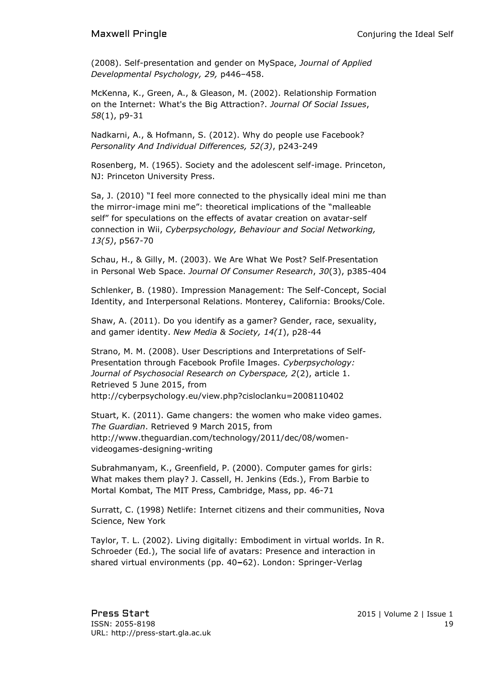(2008). Self-presentation and gender on MySpace, *Journal of Applied Developmental Psychology, 29,* p446–458.

McKenna, K., Green, A., & Gleason, M. (2002). Relationship Formation on the Internet: What's the Big Attraction?. *Journal Of Social Issues*, *58*(1), p9-31

Nadkarni, A., & Hofmann, S. (2012). Why do people use Facebook? *Personality And Individual Differences, 52(3)*, p243-249

Rosenberg, M. (1965). Society and the adolescent self-image. Princeton, NJ: Princeton University Press.

Sa, J. (2010) "I feel more connected to the physically ideal mini me than the mirror-image mini me": theoretical implications of the "malleable self" for speculations on the effects of avatar creation on avatar-self connection in Wii, *Cyberpsychology, Behaviour and Social Networking, 13(5)*, p567-70

Schau, H., & Gilly, M. (2003). We Are What We Post? Self‐Presentation in Personal Web Space. *Journal Of Consumer Research*, *30*(3), p385-404

Schlenker, B. (1980). Impression Management: The Self-Concept, Social Identity, and Interpersonal Relations. Monterey, California: Brooks/Cole.

Shaw, A. (2011). Do you identify as a gamer? Gender, race, sexuality, and gamer identity. *New Media & Society, 14(1*), p28-44

Strano, M. M. (2008). User Descriptions and Interpretations of Self-Presentation through Facebook Profile Images. *Cyberpsychology: Journal of Psychosocial Research on Cyberspace, 2*(2), article 1. Retrieved 5 June 2015, from <http://cyberpsychology.eu/view.php?cisloclanku=2008110402>

Stuart, K. (2011). Game changers: the women who make video games. *The Guardian*. Retrieved 9 March 2015, from [http://www.theguardian.com/technology/2011/dec/08/women](http://www.theguardian.com/technology/2011/dec/08/women-videogames-designing-writing)[videogames-designing-writing](http://www.theguardian.com/technology/2011/dec/08/women-videogames-designing-writing)

Subrahmanyam, K., Greenfield, P. (2000). Computer games for girls: What makes them play? J. Cassell, H. Jenkins (Eds.), From Barbie to Mortal Kombat, The MIT Press, Cambridge, Mass, pp. 46-71

Surratt, C. (1998) Netlife: Internet citizens and their communities, Nova Science, New York

Taylor, T. L. (2002). Living digitally: Embodiment in virtual worlds. In R. Schroeder (Ed.), The social life of avatars: Presence and interaction in shared virtual environments (pp. 40**–**62). London: Springer-Verlag